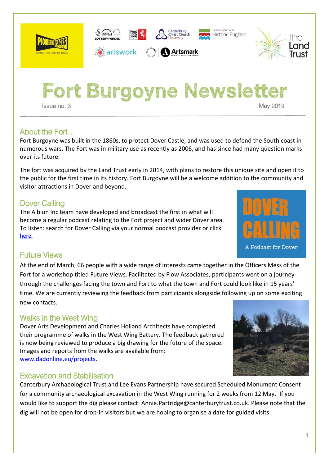

**1**

**Fort Burgoyne Newsletter Issue no. 3** May 2019

## About the Fort…

Fort Burgoyne was built in the 1860s, to protect Dover Castle, and was used to defend the South coast in numerous wars. The Fort was in military use as recently as 2006, and has since had many question marks over its future.

The fort was acquired by the Land Trust early in 2014, with plans to restore this unique site and open it to the public for the first time in its history. Fort Burgoyne will be a welcome addition to the community and visitor attractions in Dover and beyond.

## Dover Calling

The Albion Inc team have developed and broadcast the first in what will become a regular podcast relating to the Fort project and wider Dover area. To listen: search for Dover Calling via your normal podcast provider or click [here.](https://www.listennotes.com/podcasts/dover-calling-peter-cocks-john-orchard-vQN8fHmePYU/)

 $\sqrt{a}$  heritage  $\sum_{\alpha_{\alpha_1,\beta}}$ 

*artswork* 

## Future Views

At the end of March, 66 people with a wide range of interests came together in the Officers Mess of the Fort for a workshop titled Future Views. Facilitated by Flow Associates, participants went on a journey through the challenges facing the town and Fort to what the town and Fort could look like in 15 years' time. We are currently reviewing the feedback from participants alongside following up on some exciting new contacts.

# Walks in the West Wing

Dover Arts Development and Charles Holland Architects have completed their programme of walks in the West Wing Battery. The feedback gathered is now being reviewed to produce a big drawing for the future of the space. Images and reports from the walks are available from**:** [www.dadonline.eu/projects.](http://www.dadonline.eu/projects)

## Excavation and Stabilisation

Canterbury Archaeological Trust and Lee Evans Partnership have secured Scheduled Monument Consent for a community archaeological excavation in the West Wing running for 2 weeks from 12 May. If you would like to support the dig please contact[: Annie.Partridge@canterburytrust.co.uk.](mailto:Annie.Partridge@canterburytrust.co.uk) Please note that the dig will not be open for drop-in visitors but we are hoping to organise a date for guided visits.







association with